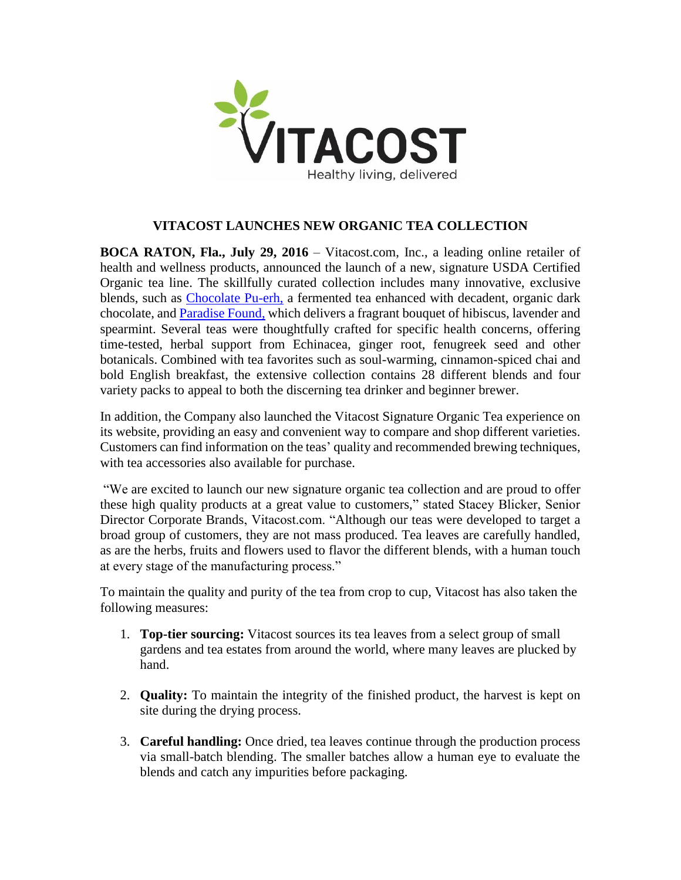

## **VITACOST LAUNCHES NEW ORGANIC TEA COLLECTION**

**BOCA RATON, Fla., July 29, 2016** – Vitacost.com, Inc., a leading online retailer of health and wellness products, announced the launch of a new, signature USDA Certified Organic tea line. The skillfully curated collection includes many innovative, exclusive blends, such as [Chocolate Pu-erh,](http://www.vitacost.com/vitacost-organic-loose-pu-erh-tea-chocolate-3-oz-3) a fermented tea enhanced with decadent, organic dark chocolate, and [Paradise Found,](http://www.vitacost.com/vitacost-organic-paradise-found-loose-herbal-tea-hibiscus-lavender-spearmint-3-oz-6) which delivers a fragrant bouquet of hibiscus, lavender and spearmint. Several teas were thoughtfully crafted for specific health concerns, offering time-tested, herbal support from Echinacea, ginger root, fenugreek seed and other botanicals. Combined with tea favorites such as soul-warming, cinnamon-spiced chai and bold English breakfast, the extensive collection contains 28 different blends and four variety packs to appeal to both the discerning tea drinker and beginner brewer.

In addition, the Company also launched the Vitacost Signature Organic Tea experience on its website, providing an easy and convenient way to compare and shop different varieties. Customers can find information on the teas' quality and recommended brewing techniques, with tea accessories also available for purchase.

"We are excited to launch our new signature organic tea collection and are proud to offer these high quality products at a great value to customers," stated Stacey Blicker, Senior Director Corporate Brands, Vitacost.com. "Although our teas were developed to target a broad group of customers, they are not mass produced. Tea leaves are carefully handled, as are the herbs, fruits and flowers used to flavor the different blends, with a human touch at every stage of the manufacturing process."

To maintain the quality and purity of the tea from crop to cup, Vitacost has also taken the following measures:

- 1. **Top-tier sourcing:** Vitacost sources its tea leaves from a select group of small gardens and tea estates from around the world, where many leaves are plucked by hand.
- 2. **Quality:** To maintain the integrity of the finished product, the harvest is kept on site during the drying process.
- 3. **Careful handling:** Once dried, tea leaves continue through the production process via small-batch blending. The smaller batches allow a human eye to evaluate the blends and catch any impurities before packaging.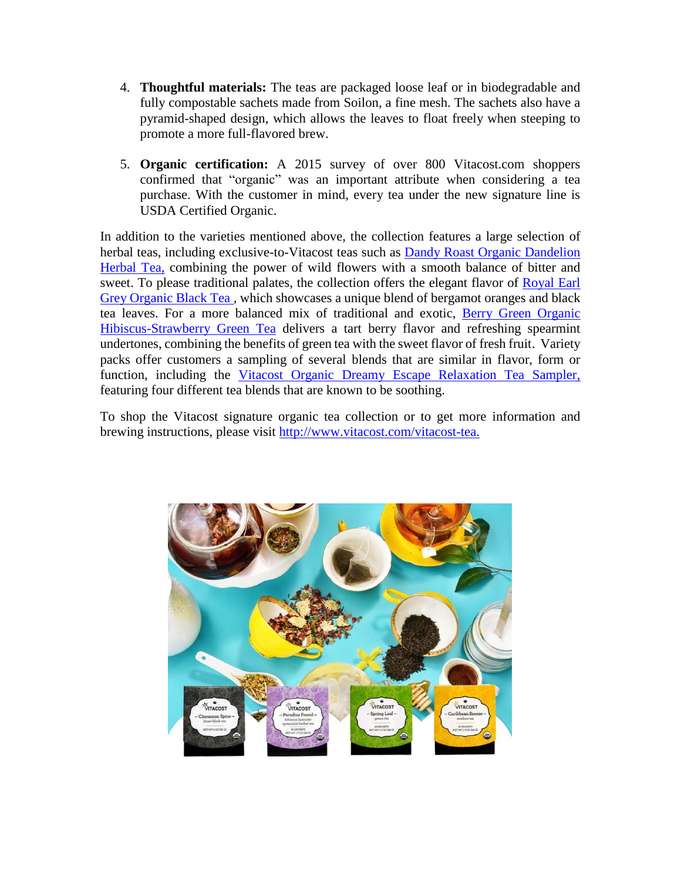- 4. **Thoughtful materials:** The teas are packaged loose leaf or in biodegradable and fully compostable sachets made from Soilon, a fine mesh. The sachets also have a pyramid-shaped design, which allows the leaves to float freely when steeping to promote a more full-flavored brew.
- 5. **Organic certification:** A 2015 survey of over 800 Vitacost.com shoppers confirmed that "organic" was an important attribute when considering a tea purchase. With the customer in mind, every tea under the new signature line is USDA Certified Organic.

In addition to the varieties mentioned above, the collection features a large selection of herbal teas, including exclusive-to-Vitacost teas such as Dandy Roast Organic Dandelion [Herbal Tea,](http://www.vitacost.com/vitacost-organic-dandy-roast-herbal-tea-dandelion-16-sachets-5) combining the power of wild flowers with a smooth balance of bitter and sweet. To please traditional palates, the collection offers the elegant flavor of Royal Earl [Grey Organic Black Tea](http://www.vitacost.com/vitacost-organic-black-tea-royal-earl-grey-16-sachets-2) , which showcases a unique blend of bergamot oranges and black tea leaves. For a more balanced mix of traditional and exotic, [Berry Green Organic](http://www.vitacost.com/vitacost-organic-berry-green-tea-hibiscus-strawberry-16-sachets-6)  [Hibiscus-Strawberry Green Tea](http://www.vitacost.com/vitacost-organic-berry-green-tea-hibiscus-strawberry-16-sachets-6) delivers a tart berry flavor and refreshing spearmint undertones, combining the benefits of green tea with the sweet flavor of fresh fruit. Variety packs offer customers a sampling of several blends that are similar in flavor, form or function, including the [Vitacost Organic Dreamy Escape Relaxation Tea Sampler,](http://www.vitacost.com/vitacost-organic-dreamy-escape-relaxation-tea-sampler-assorted-flavors-16-sachets-1) featuring four different tea blends that are known to be soothing.

To shop the Vitacost signature organic tea collection or to get more information and brewing instructions, please visit [http://www.vitacost.com/vitacost-tea.](http://www.vitacost.com/vitacost-tea)